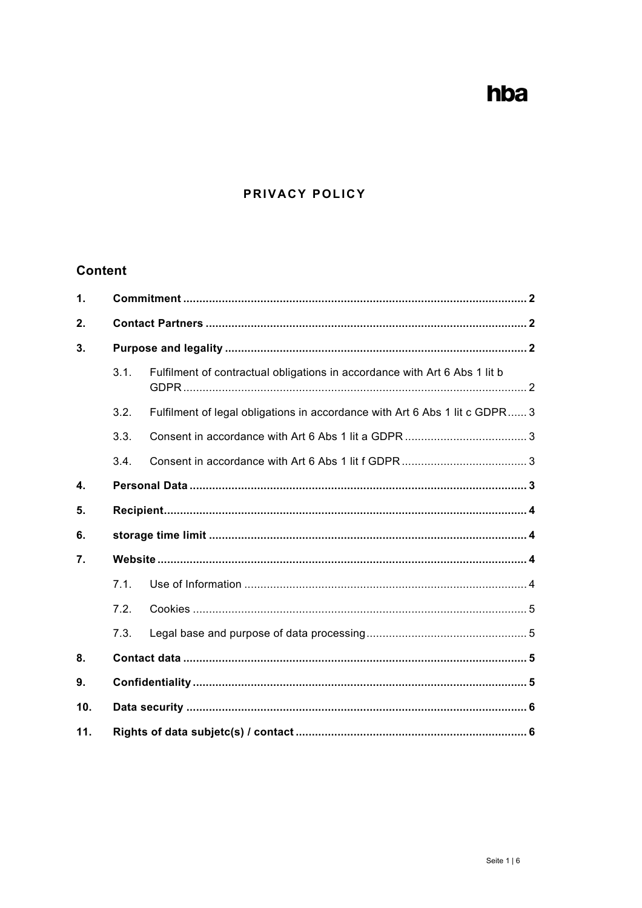# hba

# PRIVACY POLICY

# **Content**

| $\mathbf{1}$ . |      |                                                                             |  |
|----------------|------|-----------------------------------------------------------------------------|--|
| 2.             |      |                                                                             |  |
| 3.             |      |                                                                             |  |
|                | 3.1. | Fulfilment of contractual obligations in accordance with Art 6 Abs 1 lit b  |  |
|                | 3.2. | Fulfilment of legal obligations in accordance with Art 6 Abs 1 lit c GDPR 3 |  |
|                | 3.3. |                                                                             |  |
|                | 3.4. |                                                                             |  |
| $\mathbf{4}$ . |      |                                                                             |  |
| 5.             |      |                                                                             |  |
| 6.             |      |                                                                             |  |
| 7.             |      |                                                                             |  |
|                | 7.1. |                                                                             |  |
|                | 7.2. |                                                                             |  |
|                | 7.3. |                                                                             |  |
| 8.             |      |                                                                             |  |
| 9.             |      |                                                                             |  |
| 10.            |      |                                                                             |  |
| 11.            |      |                                                                             |  |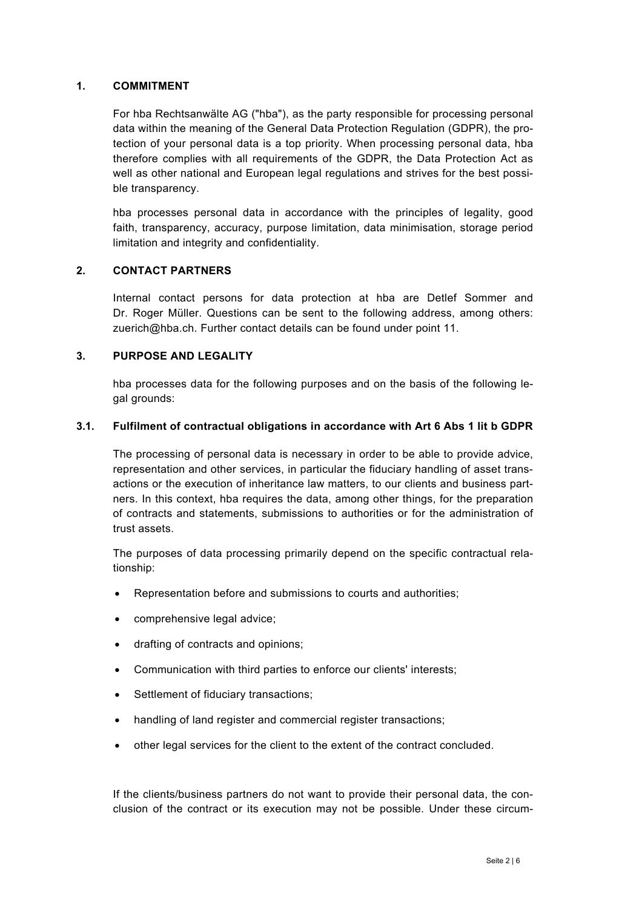#### **1. COMMITMENT**

For hba Rechtsanwälte AG ("hba"), as the party responsible for processing personal data within the meaning of the General Data Protection Regulation (GDPR), the protection of your personal data is a top priority. When processing personal data, hba therefore complies with all requirements of the GDPR, the Data Protection Act as well as other national and European legal regulations and strives for the best possible transparency.

hba processes personal data in accordance with the principles of legality, good faith, transparency, accuracy, purpose limitation, data minimisation, storage period limitation and integrity and confidentiality.

#### **2. CONTACT PARTNERS**

Internal contact persons for data protection at hba are Detlef Sommer and Dr. Roger Müller. Questions can be sent to the following address, among others: zuerich@hba.ch. Further contact details can be found under point 11.

### **3. PURPOSE AND LEGALITY**

hba processes data for the following purposes and on the basis of the following legal grounds:

### **3.1. Fulfilment of contractual obligations in accordance with Art 6 Abs 1 lit b GDPR**

The processing of personal data is necessary in order to be able to provide advice, representation and other services, in particular the fiduciary handling of asset transactions or the execution of inheritance law matters, to our clients and business partners. In this context, hba requires the data, among other things, for the preparation of contracts and statements, submissions to authorities or for the administration of trust assets.

The purposes of data processing primarily depend on the specific contractual relationship:

- Representation before and submissions to courts and authorities;
- comprehensive legal advice;
- drafting of contracts and opinions;
- Communication with third parties to enforce our clients' interests;
- Settlement of fiduciary transactions;
- handling of land register and commercial register transactions;
- other legal services for the client to the extent of the contract concluded.

If the clients/business partners do not want to provide their personal data, the conclusion of the contract or its execution may not be possible. Under these circum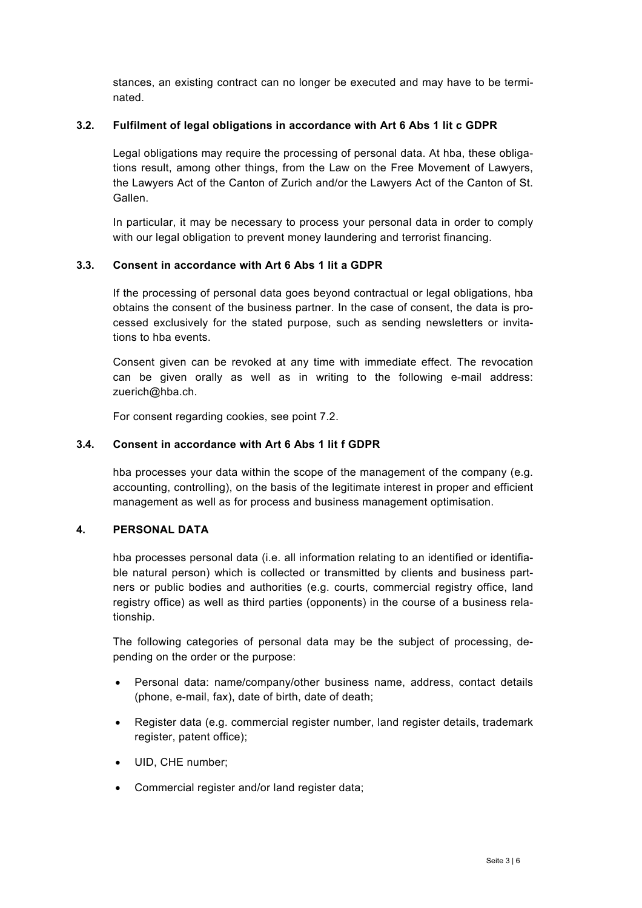stances, an existing contract can no longer be executed and may have to be terminated.

### **3.2. Fulfilment of legal obligations in accordance with Art 6 Abs 1 lit c GDPR**

Legal obligations may require the processing of personal data. At hba, these obligations result, among other things, from the Law on the Free Movement of Lawyers, the Lawyers Act of the Canton of Zurich and/or the Lawyers Act of the Canton of St. Gallen.

In particular, it may be necessary to process your personal data in order to comply with our legal obligation to prevent money laundering and terrorist financing.

### **3.3. Consent in accordance with Art 6 Abs 1 lit a GDPR**

If the processing of personal data goes beyond contractual or legal obligations, hba obtains the consent of the business partner. In the case of consent, the data is processed exclusively for the stated purpose, such as sending newsletters or invitations to hba events.

Consent given can be revoked at any time with immediate effect. The revocation can be given orally as well as in writing to the following e-mail address: zuerich@hba.ch.

For consent regarding cookies, see point 7.2.

#### **3.4. Consent in accordance with Art 6 Abs 1 lit f GDPR**

hba processes your data within the scope of the management of the company (e.g. accounting, controlling), on the basis of the legitimate interest in proper and efficient management as well as for process and business management optimisation.

#### **4. PERSONAL DATA**

hba processes personal data (i.e. all information relating to an identified or identifiable natural person) which is collected or transmitted by clients and business partners or public bodies and authorities (e.g. courts, commercial registry office, land registry office) as well as third parties (opponents) in the course of a business relationship.

The following categories of personal data may be the subject of processing, depending on the order or the purpose:

- Personal data: name/company/other business name, address, contact details (phone, e-mail, fax), date of birth, date of death;
- Register data (e.g. commercial register number, land register details, trademark register, patent office);
- UID, CHE number;
- Commercial register and/or land register data;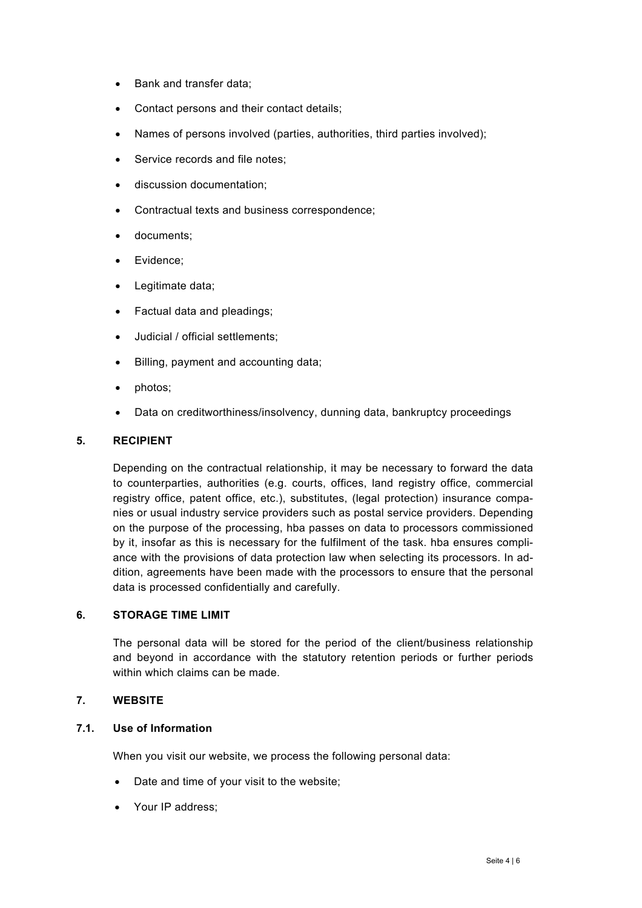- Bank and transfer data;
- Contact persons and their contact details;
- Names of persons involved (parties, authorities, third parties involved);
- Service records and file notes;
- discussion documentation;
- Contractual texts and business correspondence;
- documents;
- Evidence;
- Legitimate data;
- Factual data and pleadings;
- Judicial / official settlements;
- Billing, payment and accounting data;
- photos;
- Data on creditworthiness/insolvency, dunning data, bankruptcy proceedings

#### **5. RECIPIENT**

Depending on the contractual relationship, it may be necessary to forward the data to counterparties, authorities (e.g. courts, offices, land registry office, commercial registry office, patent office, etc.), substitutes, (legal protection) insurance companies or usual industry service providers such as postal service providers. Depending on the purpose of the processing, hba passes on data to processors commissioned by it, insofar as this is necessary for the fulfilment of the task. hba ensures compliance with the provisions of data protection law when selecting its processors. In addition, agreements have been made with the processors to ensure that the personal data is processed confidentially and carefully.

#### **6. STORAGE TIME LIMIT**

The personal data will be stored for the period of the client/business relationship and beyond in accordance with the statutory retention periods or further periods within which claims can be made.

#### **7. WEBSITE**

## **7.1. Use of Information**

When you visit our website, we process the following personal data:

- Date and time of your visit to the website;
- Your IP address;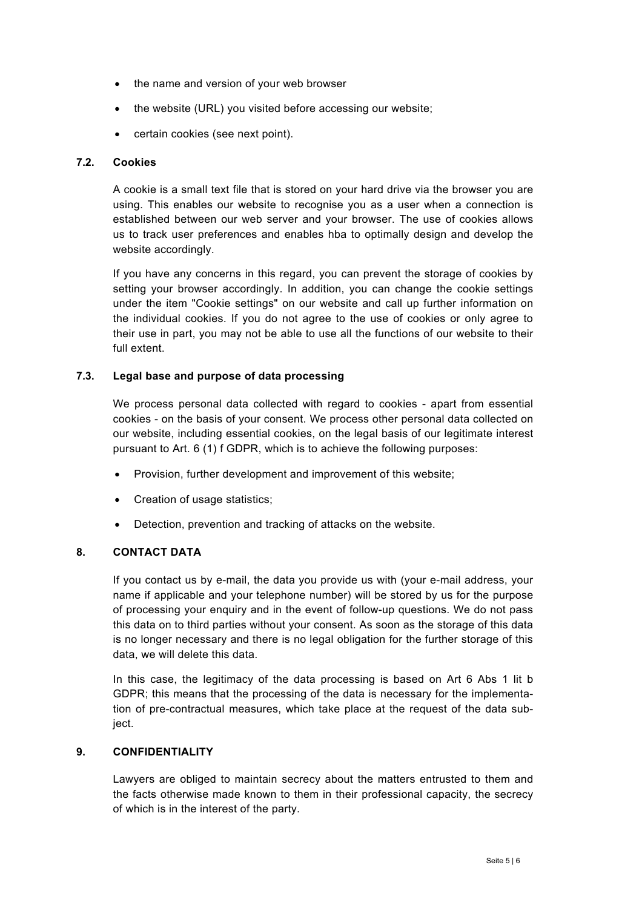- the name and version of your web browser
- the website (URL) you visited before accessing our website;
- certain cookies (see next point).

#### **7.2. Cookies**

A cookie is a small text file that is stored on your hard drive via the browser you are using. This enables our website to recognise you as a user when a connection is established between our web server and your browser. The use of cookies allows us to track user preferences and enables hba to optimally design and develop the website accordingly.

If you have any concerns in this regard, you can prevent the storage of cookies by setting your browser accordingly. In addition, you can change the cookie settings under the item "Cookie settings" on our website and call up further information on the individual cookies. If you do not agree to the use of cookies or only agree to their use in part, you may not be able to use all the functions of our website to their full extent.

#### **7.3. Legal base and purpose of data processing**

We process personal data collected with regard to cookies - apart from essential cookies - on the basis of your consent. We process other personal data collected on our website, including essential cookies, on the legal basis of our legitimate interest pursuant to Art. 6 (1) f GDPR, which is to achieve the following purposes:

- Provision, further development and improvement of this website;
- Creation of usage statistics;
- Detection, prevention and tracking of attacks on the website.

#### **8. CONTACT DATA**

If you contact us by e-mail, the data you provide us with (your e-mail address, your name if applicable and your telephone number) will be stored by us for the purpose of processing your enquiry and in the event of follow-up questions. We do not pass this data on to third parties without your consent. As soon as the storage of this data is no longer necessary and there is no legal obligation for the further storage of this data, we will delete this data.

In this case, the legitimacy of the data processing is based on Art 6 Abs 1 lit b GDPR; this means that the processing of the data is necessary for the implementation of pre-contractual measures, which take place at the request of the data subject.

#### **9. CONFIDENTIALITY**

Lawyers are obliged to maintain secrecy about the matters entrusted to them and the facts otherwise made known to them in their professional capacity, the secrecy of which is in the interest of the party.